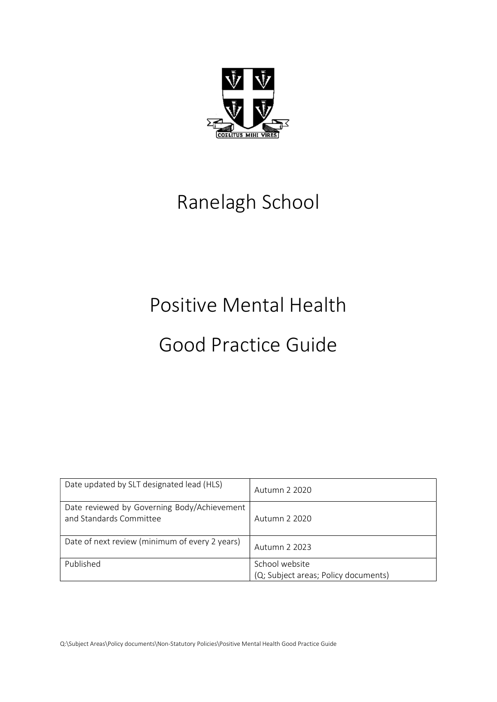

# Ranelagh School

# Positive Mental Health

# Good Practice Guide

| Date updated by SLT designated lead (HLS)                              | Autumn 2 2020                                          |
|------------------------------------------------------------------------|--------------------------------------------------------|
| Date reviewed by Governing Body/Achievement<br>and Standards Committee | Autumn 2 2020                                          |
| Date of next review (minimum of every 2 years)                         | Autumn 2 2023                                          |
| Published                                                              | School website<br>(Q; Subject areas; Policy documents) |

Q:\Subject Areas\Policy documents\Non-Statutory Policies\Positive Mental Health Good Practice Guide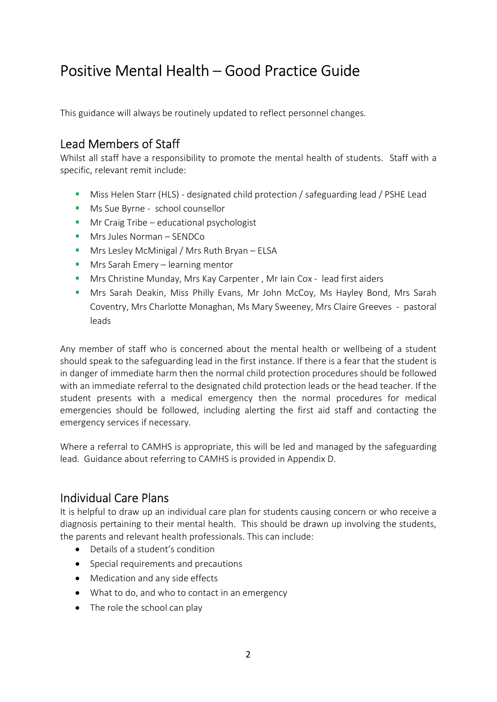## Positive Mental Health – Good Practice Guide

This guidance will always be routinely updated to reflect personnel changes.

## Lead Members of Staff

Whilst all staff have a responsibility to promote the mental health of students. Staff with a specific, relevant remit include:

- Miss Helen Starr (HLS) designated child protection / safeguarding lead / PSHE Lead
- **Ms Sue Byrne school counsellor**
- **Mr Craig Tribe educational psychologist**
- **Mrs Jules Norman SENDCo**
- **Mrs Lesley McMinigal / Mrs Ruth Bryan ELSA**
- Mrs Sarah Emery learning mentor
- Mrs Christine Munday, Mrs Kay Carpenter , Mr Iain Cox lead first aiders
- Mrs Sarah Deakin, Miss Philly Evans, Mr John McCoy, Ms Hayley Bond, Mrs Sarah Coventry, Mrs Charlotte Monaghan, Ms Mary Sweeney, Mrs Claire Greeves - pastoral leads

Any member of staff who is concerned about the mental health or wellbeing of a student should speak to the safeguarding lead in the first instance. If there is a fear that the student is in danger of immediate harm then the normal child protection procedures should be followed with an immediate referral to the designated child protection leads or the head teacher. If the student presents with a medical emergency then the normal procedures for medical emergencies should be followed, including alerting the first aid staff and contacting the emergency services if necessary.

Where a referral to CAMHS is appropriate, this will be led and managed by the safeguarding lead. Guidance about referring to CAMHS is provided in Appendix D.

## Individual Care Plans

It is helpful to draw up an individual care plan for students causing concern or who receive a diagnosis pertaining to their mental health. This should be drawn up involving the students, the parents and relevant health professionals. This can include:

- Details of a student's condition
- Special requirements and precautions
- Medication and any side effects
- What to do, and who to contact in an emergency
- The role the school can play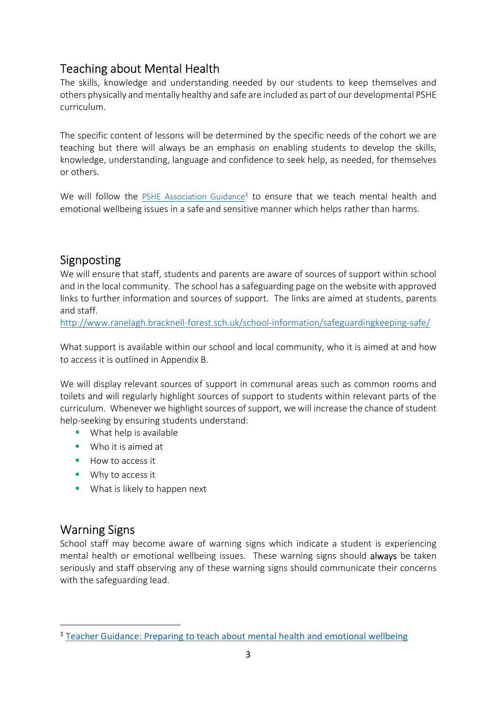## Teaching about Mental Health

The skills, knowledge and understanding needed by our students to keep themselves and others physically and mentally healthy and safe are included as part of our developmental PSHE curriculum.

The specific content of lessons will be determined by the specific needs of the cohort we are teaching but there will always be an emphasis on enabling students to develop the skills, knowledge, understanding, language and confidence to seek help, as needed, for themselves or others.

We will follow the **PSHE Association Guidance<sup>1</sup>** to ensure that we teach mental health and emotional wellbeing issues in a safe and sensitive manner which helps rather than harms.

## Signposting

We will ensure that staff, students and parents are aware of sources of support within school and in the local community. The school has a safeguarding page on the website with approved links to further information and sources of support. The links are aimed at students, parents and staff.

http://www.ranelagh.bracknell-forest.sch.uk/school-information/safeguardingkeeping-safe/

What support is available within our school and local community, who it is aimed at and how to access it is outlined in Appendix B.

We will display relevant sources of support in communal areas such as common rooms and toilets and will regularly highlight sources of support to students within relevant parts of the curriculum. Whenever we highlight sources of support, we will increase the chance of student help-seeking by ensuring students understand:

- **What help is available**
- **Who it is aimed at**
- $How to access it$
- **Why to access it**
- **What is likely to happen next**

## Warning Signs

-

School staff may become aware of warning signs which indicate a student is experiencing mental health or emotional wellbeing issues. These warning signs should always be taken seriously and staff observing any of these warning signs should communicate their concerns with the safeguarding lead.

<sup>&</sup>lt;sup>1</sup> Teacher Guidance: Preparing to teach about mental health and emotional wellbeing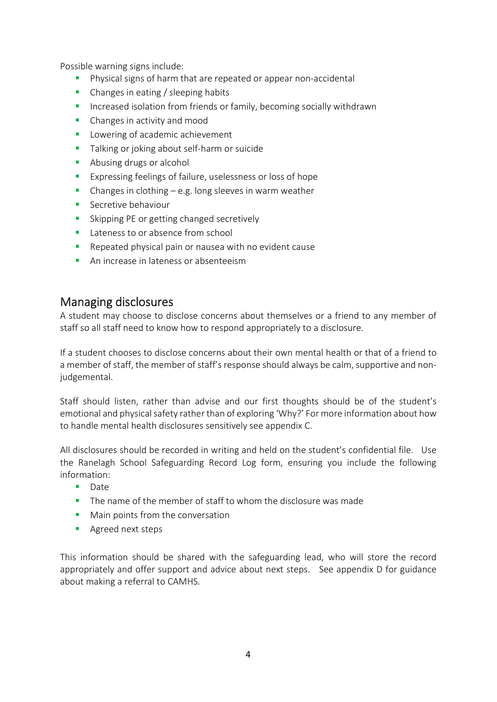Possible warning signs include:

- **Physical signs of harm that are repeated or appear non-accidental**
- Changes in eating / sleeping habits
- **Increased isolation from friends or family, becoming socially withdrawn**
- **Changes in activity and mood**
- **Lowering of academic achievement**
- **Talking or joking about self-harm or suicide**
- **Abusing drugs or alcohol**
- **Expressing feelings of failure, uselessness or loss of hope**
- **•** Changes in clothing  $-$  e.g. long sleeves in warm weather
- **Secretive behaviour**
- **Skipping PE or getting changed secretively**
- **Lateness to or absence from school**
- Repeated physical pain or nausea with no evident cause
- **An increase in lateness or absenteeism**

#### Managing disclosures

A student may choose to disclose concerns about themselves or a friend to any member of staff so all staff need to know how to respond appropriately to a disclosure.

If a student chooses to disclose concerns about their own mental health or that of a friend to a member of staff, the member of staff's response should always be calm, supportive and nonjudgemental.

Staff should listen, rather than advise and our first thoughts should be of the student's emotional and physical safety rather than of exploring 'Why?' For more information about how to handle mental health disclosures sensitively see appendix C.

All disclosures should be recorded in writing and held on the student's confidential file. Use the Ranelagh School Safeguarding Record Log form, ensuring you include the following information:

- **Date**
- The name of the member of staff to whom the disclosure was made
- **Main points from the conversation**
- **Agreed next steps**

This information should be shared with the safeguarding lead, who will store the record appropriately and offer support and advice about next steps. See appendix D for guidance about making a referral to CAMHS.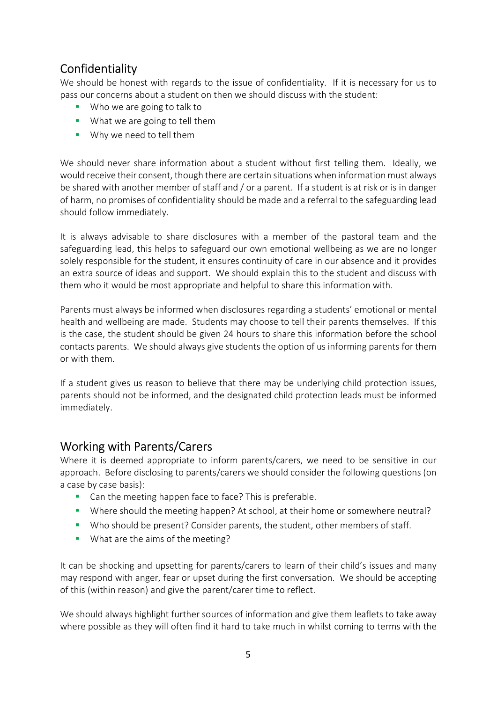## Confidentiality

We should be honest with regards to the issue of confidentiality. If it is necessary for us to pass our concerns about a student on then we should discuss with the student:

- Who we are going to talk to
- **What we are going to tell them**
- **Why we need to tell them**

We should never share information about a student without first telling them. Ideally, we would receive their consent, though there are certain situations when information must always be shared with another member of staff and / or a parent. If a student is at risk or is in danger of harm, no promises of confidentiality should be made and a referral to the safeguarding lead should follow immediately.

It is always advisable to share disclosures with a member of the pastoral team and the safeguarding lead, this helps to safeguard our own emotional wellbeing as we are no longer solely responsible for the student, it ensures continuity of care in our absence and it provides an extra source of ideas and support. We should explain this to the student and discuss with them who it would be most appropriate and helpful to share this information with.

Parents must always be informed when disclosures regarding a students' emotional or mental health and wellbeing are made. Students may choose to tell their parents themselves. If this is the case, the student should be given 24 hours to share this information before the school contacts parents. We should always give students the option of us informing parents for them or with them.

If a student gives us reason to believe that there may be underlying child protection issues, parents should not be informed, and the designated child protection leads must be informed immediately.

### Working with Parents/Carers

Where it is deemed appropriate to inform parents/carers, we need to be sensitive in our approach. Before disclosing to parents/carers we should consider the following questions (on a case by case basis):

- **Can the meeting happen face to face? This is preferable.**
- Where should the meeting happen? At school, at their home or somewhere neutral?
- Who should be present? Consider parents, the student, other members of staff.
- **What are the aims of the meeting?**

It can be shocking and upsetting for parents/carers to learn of their child's issues and many may respond with anger, fear or upset during the first conversation. We should be accepting of this (within reason) and give the parent/carer time to reflect.

We should always highlight further sources of information and give them leaflets to take away where possible as they will often find it hard to take much in whilst coming to terms with the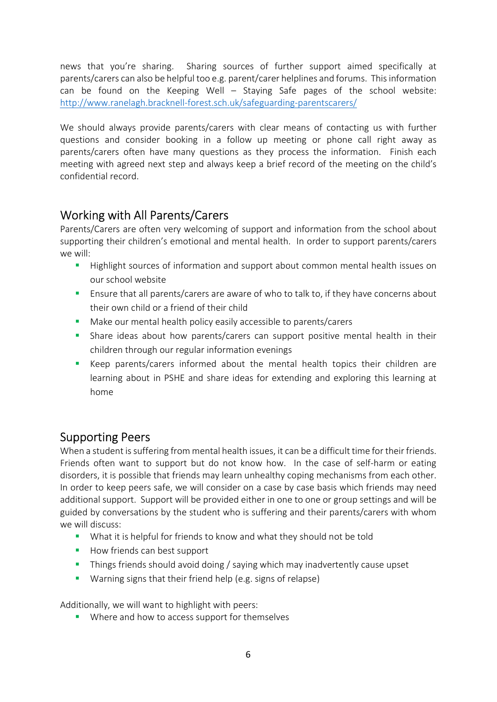news that you're sharing. Sharing sources of further support aimed specifically at parents/carers can also be helpful too e.g. parent/carer helplines and forums. This information can be found on the Keeping Well – Staving Safe pages of the school website: http://www.ranelagh.bracknell-forest.sch.uk/safeguarding-parentscarers/

We should always provide parents/carers with clear means of contacting us with further questions and consider booking in a follow up meeting or phone call right away as parents/carers often have many questions as they process the information. Finish each meeting with agreed next step and always keep a brief record of the meeting on the child's confidential record.

## Working with All Parents/Carers

Parents/Carers are often very welcoming of support and information from the school about supporting their children's emotional and mental health. In order to support parents/carers we will:

- **Highlight sources of information and support about common mental health issues on** our school website
- **Ensure that all parents/carers are aware of who to talk to, if they have concerns about** their own child or a friend of their child
- **Make our mental health policy easily accessible to parents/carers**
- Share ideas about how parents/carers can support positive mental health in their children through our regular information evenings
- Keep parents/carers informed about the mental health topics their children are learning about in PSHE and share ideas for extending and exploring this learning at home

## Supporting Peers

When a student is suffering from mental health issues, it can be a difficult time for their friends. Friends often want to support but do not know how. In the case of self-harm or eating disorders, it is possible that friends may learn unhealthy coping mechanisms from each other. In order to keep peers safe, we will consider on a case by case basis which friends may need additional support. Support will be provided either in one to one or group settings and will be guided by conversations by the student who is suffering and their parents/carers with whom we will discuss:

- What it is helpful for friends to know and what they should not be told
- How friends can best support
- **Things friends should avoid doing / saying which may inadvertently cause upset**
- Warning signs that their friend help (e.g. signs of relapse)

Additionally, we will want to highlight with peers:

**Where and how to access support for themselves**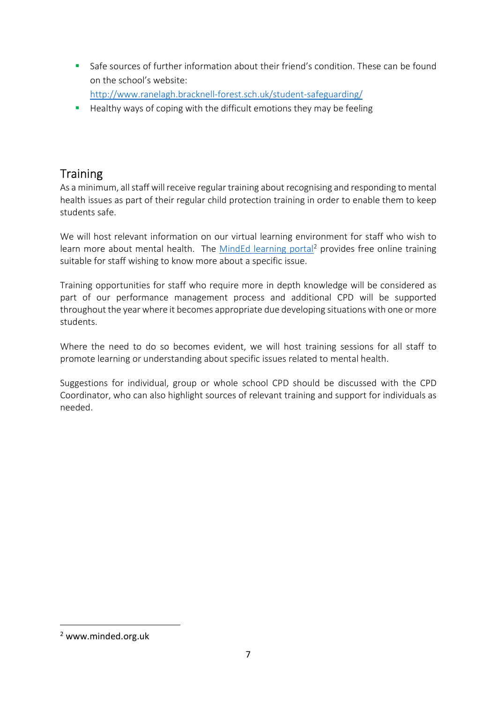Safe sources of further information about their friend's condition. These can be found on the school's website:

http://www.ranelagh.bracknell-forest.sch.uk/student-safeguarding/

**Healthy ways of coping with the difficult emotions they may be feeling** 

## **Training**

As a minimum, all staff will receive regular training about recognising and responding to mental health issues as part of their regular child protection training in order to enable them to keep students safe.

We will host relevant information on our virtual learning environment for staff who wish to learn more about mental health. The MindEd learning portal<sup>2</sup> provides free online training suitable for staff wishing to know more about a specific issue.

Training opportunities for staff who require more in depth knowledge will be considered as part of our performance management process and additional CPD will be supported throughout the year where it becomes appropriate due developing situations with one or more students.

Where the need to do so becomes evident, we will host training sessions for all staff to promote learning or understanding about specific issues related to mental health.

Suggestions for individual, group or whole school CPD should be discussed with the CPD Coordinator, who can also highlight sources of relevant training and support for individuals as needed.

-

<sup>2</sup> www.minded.org.uk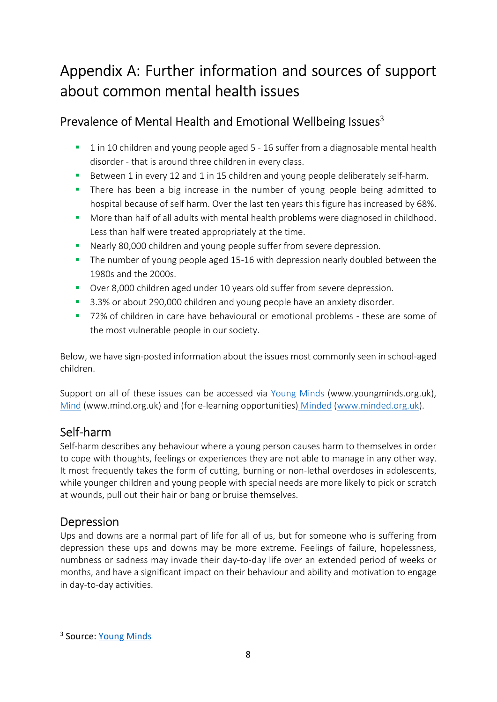## Appendix A: Further information and sources of support about common mental health issues

## Prevalence of Mental Health and Emotional Wellbeing Issues<sup>3</sup>

- 1 in 10 children and young people aged 5 16 suffer from a diagnosable mental health disorder - that is around three children in every class.
- Between 1 in every 12 and 1 in 15 children and young people deliberately self-harm.
- **There has been a big increase in the number of young people being admitted to** hospital because of self harm. Over the last ten years this figure has increased by 68%.
- More than half of all adults with mental health problems were diagnosed in childhood. Less than half were treated appropriately at the time.
- Nearly 80,000 children and young people suffer from severe depression.
- The number of young people aged 15-16 with depression nearly doubled between the 1980s and the 2000s.
- Over 8,000 children aged under 10 years old suffer from severe depression.
- **3.3% or about 290,000 children and young people have an anxiety disorder.**
- 72% of children in care have behavioural or emotional problems these are some of the most vulnerable people in our society.

Below, we have sign-posted information about the issues most commonly seen in school-aged children.

Support on all of these issues can be accessed via Young Minds (www.youngminds.org.uk), Mind (www.mind.org.uk) and (for e-learning opportunities) Minded (www.minded.org.uk).

## Self-harm

Self-harm describes any behaviour where a young person causes harm to themselves in order to cope with thoughts, feelings or experiences they are not able to manage in any other way. It most frequently takes the form of cutting, burning or non-lethal overdoses in adolescents, while younger children and young people with special needs are more likely to pick or scratch at wounds, pull out their hair or bang or bruise themselves.

## Depression

Ups and downs are a normal part of life for all of us, but for someone who is suffering from depression these ups and downs may be more extreme. Feelings of failure, hopelessness, numbness or sadness may invade their day-to-day life over an extended period of weeks or months, and have a significant impact on their behaviour and ability and motivation to engage in day-to-day activities.

-

<sup>&</sup>lt;sup>3</sup> Source: Young Minds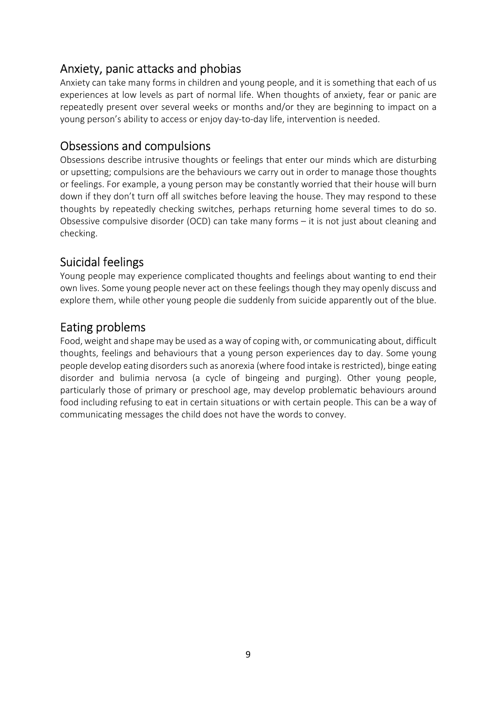## Anxiety, panic attacks and phobias

Anxiety can take many forms in children and young people, and it is something that each of us experiences at low levels as part of normal life. When thoughts of anxiety, fear or panic are repeatedly present over several weeks or months and/or they are beginning to impact on a young person's ability to access or enjoy day-to-day life, intervention is needed.

### Obsessions and compulsions

Obsessions describe intrusive thoughts or feelings that enter our minds which are disturbing or upsetting; compulsions are the behaviours we carry out in order to manage those thoughts or feelings. For example, a young person may be constantly worried that their house will burn down if they don't turn off all switches before leaving the house. They may respond to these thoughts by repeatedly checking switches, perhaps returning home several times to do so. Obsessive compulsive disorder (OCD) can take many forms – it is not just about cleaning and checking.

## Suicidal feelings

Young people may experience complicated thoughts and feelings about wanting to end their own lives. Some young people never act on these feelings though they may openly discuss and explore them, while other young people die suddenly from suicide apparently out of the blue.

## Eating problems

Food, weight and shape may be used as a way of coping with, or communicating about, difficult thoughts, feelings and behaviours that a young person experiences day to day. Some young people develop eating disorders such as anorexia (where food intake is restricted), binge eating disorder and bulimia nervosa (a cycle of bingeing and purging). Other young people, particularly those of primary or preschool age, may develop problematic behaviours around food including refusing to eat in certain situations or with certain people. This can be a way of communicating messages the child does not have the words to convey.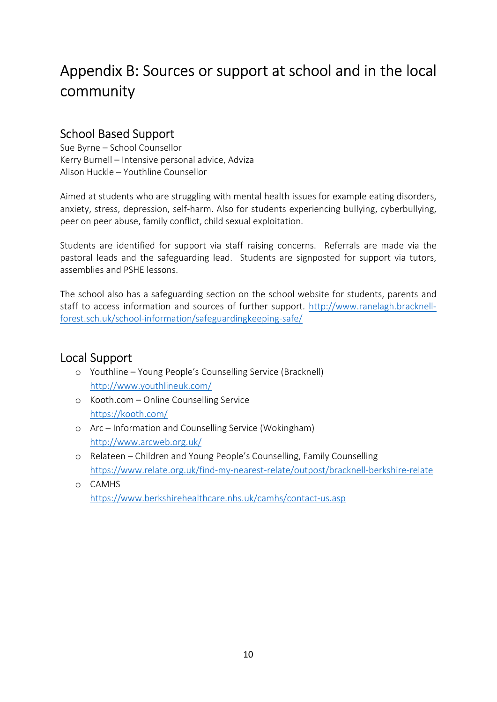## Appendix B: Sources or support at school and in the local community

## School Based Support

Sue Byrne – School Counsellor Kerry Burnell – Intensive personal advice, Adviza Alison Huckle – Youthline Counsellor

Aimed at students who are struggling with mental health issues for example eating disorders, anxiety, stress, depression, self-harm. Also for students experiencing bullying, cyberbullying, peer on peer abuse, family conflict, child sexual exploitation.

Students are identified for support via staff raising concerns. Referrals are made via the pastoral leads and the safeguarding lead. Students are signposted for support via tutors, assemblies and PSHE lessons.

The school also has a safeguarding section on the school website for students, parents and staff to access information and sources of further support. http://www.ranelagh.bracknellforest.sch.uk/school-information/safeguardingkeeping-safe/

## Local Support

- o Youthline Young People's Counselling Service (Bracknell) http://www.youthlineuk.com/
- o Kooth.com Online Counselling Service https://kooth.com/
- o Arc Information and Counselling Service (Wokingham) http://www.arcweb.org.uk/
- o Relateen Children and Young People's Counselling, Family Counselling https://www.relate.org.uk/find-my-nearest-relate/outpost/bracknell-berkshire-relate
- o CAMHS https://www.berkshirehealthcare.nhs.uk/camhs/contact-us.asp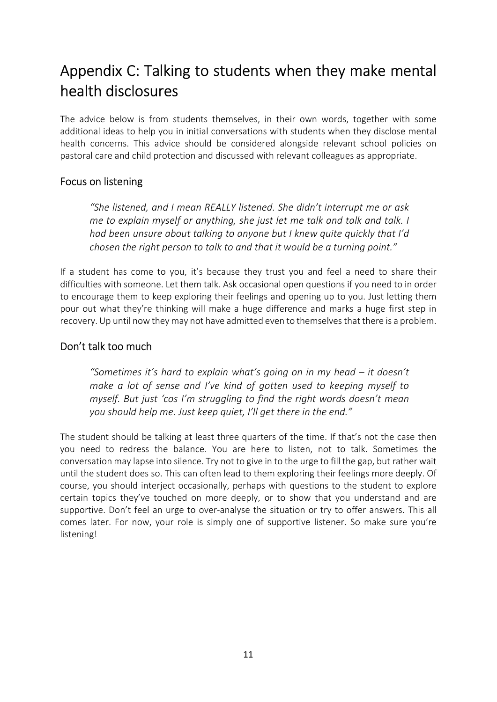## Appendix C: Talking to students when they make mental health disclosures

The advice below is from students themselves, in their own words, together with some additional ideas to help you in initial conversations with students when they disclose mental health concerns. This advice should be considered alongside relevant school policies on pastoral care and child protection and discussed with relevant colleagues as appropriate.

#### Focus on listening

"She listened, and I mean REALLY listened. She didn't interrupt me or ask me to explain myself or anything, she just let me talk and talk and talk. I had been unsure about talking to anyone but I knew quite quickly that I'd chosen the right person to talk to and that it would be a turning point."

If a student has come to you, it's because they trust you and feel a need to share their difficulties with someone. Let them talk. Ask occasional open questions if you need to in order to encourage them to keep exploring their feelings and opening up to you. Just letting them pour out what they're thinking will make a huge difference and marks a huge first step in recovery. Up until now they may not have admitted even to themselves that there is a problem.

#### Don't talk too much

"Sometimes it's hard to explain what's going on in my head – it doesn't make a lot of sense and I've kind of gotten used to keeping myself to myself. But just 'cos I'm struggling to find the right words doesn't mean you should help me. Just keep quiet, I'll get there in the end."

The student should be talking at least three quarters of the time. If that's not the case then you need to redress the balance. You are here to listen, not to talk. Sometimes the conversation may lapse into silence. Try not to give in to the urge to fill the gap, but rather wait until the student does so. This can often lead to them exploring their feelings more deeply. Of course, you should interject occasionally, perhaps with questions to the student to explore certain topics they've touched on more deeply, or to show that you understand and are supportive. Don't feel an urge to over-analyse the situation or try to offer answers. This all comes later. For now, your role is simply one of supportive listener. So make sure you're listening!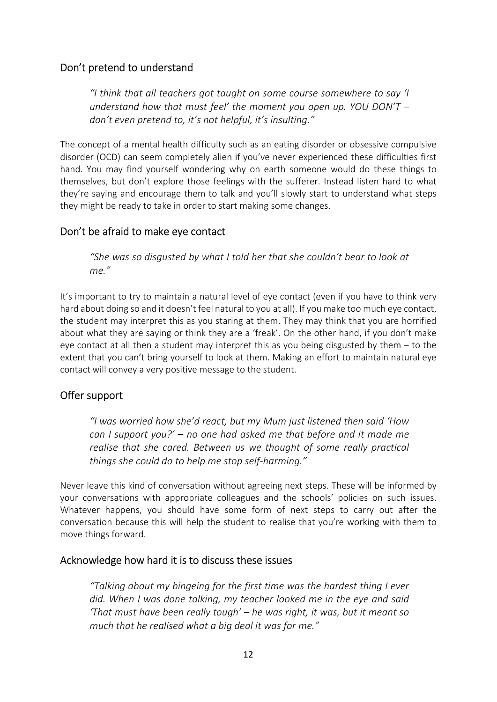#### Don't pretend to understand

"I think that all teachers got taught on some course somewhere to say 'I understand how that must feel' the moment you open up. YOU DON'T  $$ don't even pretend to, it's not helpful, it's insulting."

The concept of a mental health difficulty such as an eating disorder or obsessive compulsive disorder (OCD) can seem completely alien if you've never experienced these difficulties first hand. You may find yourself wondering why on earth someone would do these things to themselves, but don't explore those feelings with the sufferer. Instead listen hard to what they're saying and encourage them to talk and you'll slowly start to understand what steps they might be ready to take in order to start making some changes.

#### Don't be afraid to make eye contact

"She was so disgusted by what I told her that she couldn't bear to look at me."

It's important to try to maintain a natural level of eye contact (even if you have to think very hard about doing so and it doesn't feel natural to you at all). If you make too much eye contact, the student may interpret this as you staring at them. They may think that you are horrified about what they are saying or think they are a 'freak'. On the other hand, if you don't make eye contact at all then a student may interpret this as you being disgusted by them – to the extent that you can't bring yourself to look at them. Making an effort to maintain natural eye contact will convey a very positive message to the student.

#### Offer support

"I was worried how she'd react, but my Mum just listened then said 'How can I support you?'  $-$  no one had asked me that before and it made me realise that she cared. Between us we thought of some really practical things she could do to help me stop self-harming."

Never leave this kind of conversation without agreeing next steps. These will be informed by your conversations with appropriate colleagues and the schools' policies on such issues. Whatever happens, you should have some form of next steps to carry out after the conversation because this will help the student to realise that you're working with them to move things forward.

#### Acknowledge how hard it is to discuss these issues

"Talking about my bingeing for the first time was the hardest thing I ever did. When I was done talking, my teacher looked me in the eye and said 'That must have been really tough' – he was right, it was, but it meant so much that he realised what a big deal it was for me."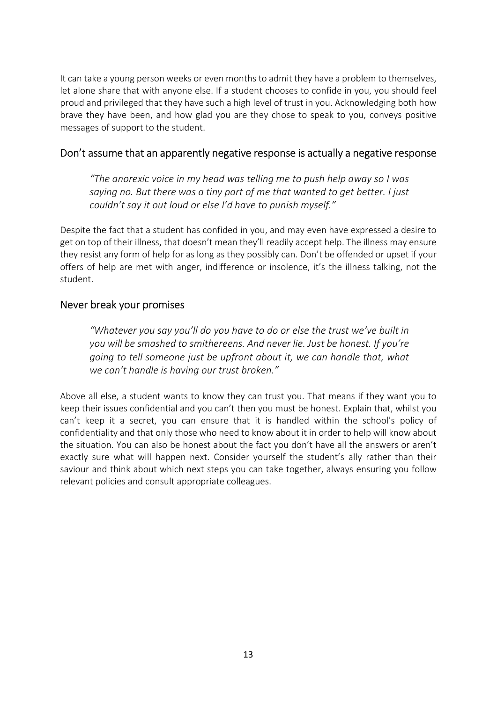It can take a young person weeks or even months to admit they have a problem to themselves, let alone share that with anyone else. If a student chooses to confide in you, you should feel proud and privileged that they have such a high level of trust in you. Acknowledging both how brave they have been, and how glad you are they chose to speak to you, conveys positive messages of support to the student.

#### Don't assume that an apparently negative response is actually a negative response

"The anorexic voice in my head was telling me to push help away so I was saying no. But there was a tiny part of me that wanted to get better. I just couldn't say it out loud or else I'd have to punish myself."

Despite the fact that a student has confided in you, and may even have expressed a desire to get on top of their illness, that doesn't mean they'll readily accept help. The illness may ensure they resist any form of help for as long as they possibly can. Don't be offended or upset if your offers of help are met with anger, indifference or insolence, it's the illness talking, not the student.

#### Never break your promises

"Whatever you say you'll do you have to do or else the trust we've built in you will be smashed to smithereens. And never lie. Just be honest. If you're going to tell someone just be upfront about it, we can handle that, what we can't handle is having our trust broken."

Above all else, a student wants to know they can trust you. That means if they want you to keep their issues confidential and you can't then you must be honest. Explain that, whilst you can't keep it a secret, you can ensure that it is handled within the school's policy of confidentiality and that only those who need to know about it in order to help will know about the situation. You can also be honest about the fact you don't have all the answers or aren't exactly sure what will happen next. Consider yourself the student's ally rather than their saviour and think about which next steps you can take together, always ensuring you follow relevant policies and consult appropriate colleagues.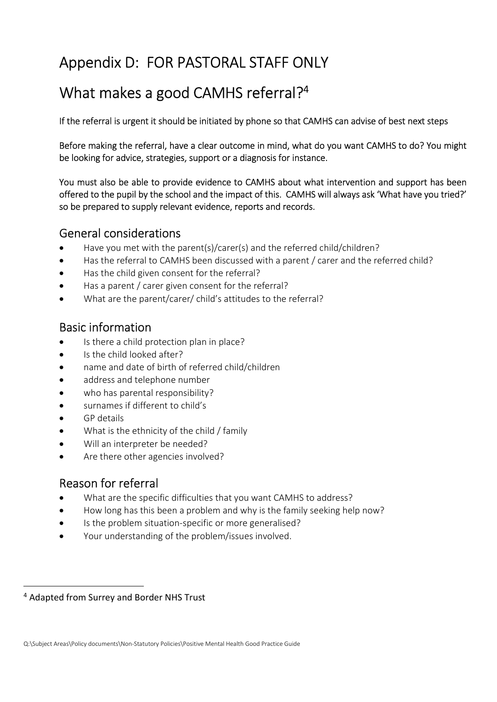## Appendix D: FOR PASTORAL STAFF ONLY

## What makes a good CAMHS referral?<sup>4</sup>

If the referral is urgent it should be initiated by phone so that CAMHS can advise of best next steps

Before making the referral, have a clear outcome in mind, what do you want CAMHS to do? You might be looking for advice, strategies, support or a diagnosis for instance.

You must also be able to provide evidence to CAMHS about what intervention and support has been offered to the pupil by the school and the impact of this. CAMHS will always ask 'What have you tried?' so be prepared to supply relevant evidence, reports and records.

#### General considerations

- Have you met with the parent(s)/carer(s) and the referred child/children?
- Has the referral to CAMHS been discussed with a parent / carer and the referred child?
- Has the child given consent for the referral?
- Has a parent / carer given consent for the referral?
- What are the parent/carer/ child's attitudes to the referral?

## Basic information

- Is there a child protection plan in place?
- Is the child looked after?
- name and date of birth of referred child/children
- address and telephone number
- who has parental responsibility?
- surnames if different to child's
- GP details
- What is the ethnicity of the child / family
- Will an interpreter be needed?
- Are there other agencies involved?

## Reason for referral

- What are the specific difficulties that you want CAMHS to address?
- How long has this been a problem and why is the family seeking help now?
- Is the problem situation-specific or more generalised?
- Your understanding of the problem/issues involved.

i.

<sup>4</sup> Adapted from Surrey and Border NHS Trust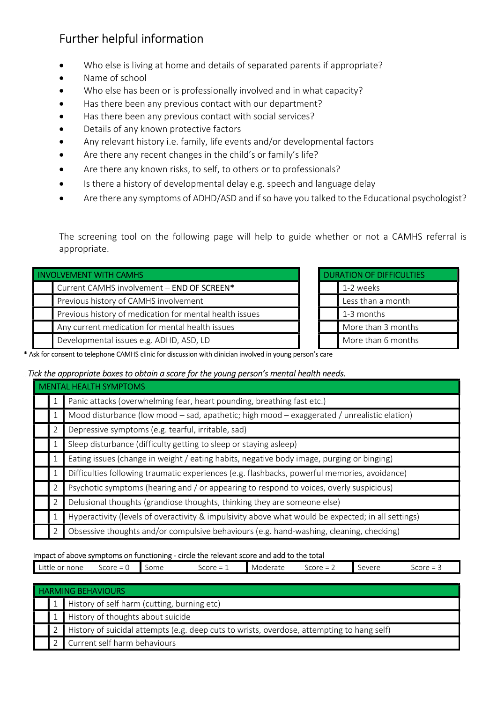## Further helpful information

- Who else is living at home and details of separated parents if appropriate?
- Name of school
- Who else has been or is professionally involved and in what capacity?
- Has there been any previous contact with our department?
- Has there been any previous contact with social services?
- Details of any known protective factors
- Any relevant history i.e. family, life events and/or developmental factors
- Are there any recent changes in the child's or family's life?
- Are there any known risks, to self, to others or to professionals?
- Is there a history of developmental delay e.g. speech and language delay
- Are there any symptoms of ADHD/ASD and if so have you talked to the Educational psychologist?

The screening tool on the following page will help to guide whether or not a CAMHS referral is appropriate.

| <b>INVOLVEMENT WITH CAMHS</b>                           | <b>DURATION OF DIFFICULTIES</b> |
|---------------------------------------------------------|---------------------------------|
| Current CAMHS involvement - END OF SCREEN*              | 1-2 weeks                       |
| Previous history of CAMHS involvement                   | Less than a month               |
| Previous history of medication for mental health issues | 1-3 months                      |
| Any current medication for mental health issues         | More than 3 months              |
| Developmental issues e.g. ADHD, ASD, LD                 | More than 6 months              |

| <b>DURATION OF DIFFICULTIES</b> |                    |  |  |  |  |
|---------------------------------|--------------------|--|--|--|--|
|                                 | 1-2 weeks          |  |  |  |  |
|                                 | Less than a month  |  |  |  |  |
|                                 | 1-3 months         |  |  |  |  |
|                                 | More than 3 months |  |  |  |  |
|                                 | More than 6 months |  |  |  |  |

\* Ask for consent to telephone CAMHS clinic for discussion with clinician involved in young person's care

#### Tick the appropriate boxes to obtain a score for the young person's mental health needs.

|                                                                                                  | <b>MENTAL HEALTH SYMPTOMS</b>                                                                      |                                                                                         |  |  |  |  |  |  |
|--------------------------------------------------------------------------------------------------|----------------------------------------------------------------------------------------------------|-----------------------------------------------------------------------------------------|--|--|--|--|--|--|
|                                                                                                  |                                                                                                    | Panic attacks (overwhelming fear, heart pounding, breathing fast etc.)                  |  |  |  |  |  |  |
| Mood disturbance (low mood – sad, apathetic; high mood – exaggerated / unrealistic elation)<br>ı |                                                                                                    |                                                                                         |  |  |  |  |  |  |
|                                                                                                  | $\overline{2}$                                                                                     | Depressive symptoms (e.g. tearful, irritable, sad)                                      |  |  |  |  |  |  |
|                                                                                                  |                                                                                                    | Sleep disturbance (difficulty getting to sleep or staying asleep)                       |  |  |  |  |  |  |
|                                                                                                  | Eating issues (change in weight / eating habits, negative body image, purging or binging)<br>1     |                                                                                         |  |  |  |  |  |  |
|                                                                                                  | Difficulties following traumatic experiences (e.g. flashbacks, powerful memories, avoidance)<br>1  |                                                                                         |  |  |  |  |  |  |
|                                                                                                  | 2.                                                                                                 | Psychotic symptoms (hearing and / or appearing to respond to voices, overly suspicious) |  |  |  |  |  |  |
|                                                                                                  | $\overline{2}$                                                                                     | Delusional thoughts (grandiose thoughts, thinking they are someone else)                |  |  |  |  |  |  |
|                                                                                                  | Hyperactivity (levels of overactivity & impulsivity above what would be expected; in all settings) |                                                                                         |  |  |  |  |  |  |
|                                                                                                  | 2.                                                                                                 | Obsessive thoughts and/or compulsive behaviours (e.g. hand-washing, cleaning, checking) |  |  |  |  |  |  |

#### Impact of above symptoms on functioning - circle the relevant score and add to the total

| none<br>ttie<br>◡ | Score<br>$\overline{\phantom{m}}$<br>$\overline{\phantom{0}}$ | Some | Score<br>$\overline{\phantom{a}}$<br>$\overline{\phantom{a}}$<br><b>.</b> | Moderate | Score<br>-<br><u>_</u> | severs<br>. | $\sim$<br>Score |
|-------------------|---------------------------------------------------------------|------|---------------------------------------------------------------------------|----------|------------------------|-------------|-----------------|
|                   |                                                               |      |                                                                           |          |                        |             |                 |

| <b>HARMING BEHAVIOURS</b> |                                                                                            |  |  |  |  |  |
|---------------------------|--------------------------------------------------------------------------------------------|--|--|--|--|--|
|                           | History of self harm (cutting, burning etc)                                                |  |  |  |  |  |
|                           | History of thoughts about suicide                                                          |  |  |  |  |  |
|                           | History of suicidal attempts (e.g. deep cuts to wrists, overdose, attempting to hang self) |  |  |  |  |  |
|                           | Current self harm behaviours                                                               |  |  |  |  |  |